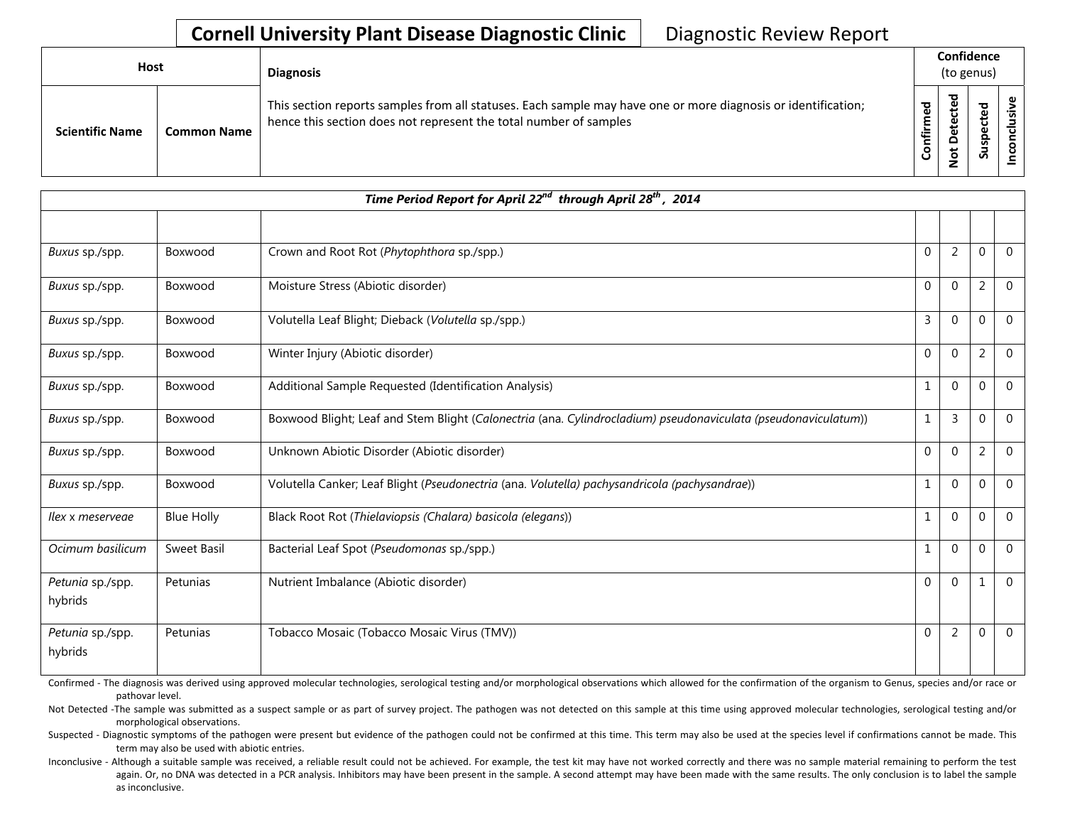## **Cornell University Plant Disease Diagnostic Clinic** | Diagnostic Review Report

| <b>Host</b>            |                    | <b>Diagnosis</b>                                                                                                                                                                   |                       | Confidence<br>(to genus)                |                                 |    |  |  |
|------------------------|--------------------|------------------------------------------------------------------------------------------------------------------------------------------------------------------------------------|-----------------------|-----------------------------------------|---------------------------------|----|--|--|
| <b>Scientific Name</b> | <b>Common Name</b> | This section reports samples from all statuses. Each sample may have one or more diagnosis or identification;<br>hence this section does not represent the total number of samples | ਨੂ<br>ς.<br>nfir<br>ပ | ъ<br>ይ<br>ں<br>ق<br>۵<br>ى<br>$\dot{9}$ | ᠊ᠣ<br>ω<br>o<br>s<br><u>ທ</u> ້ | ۵ï |  |  |

| Time Period Report for April 22 <sup>nd</sup> through April 28 <sup>th</sup> , 2014 |                   |                                                                                                                |                |                |                  |                |  |
|-------------------------------------------------------------------------------------|-------------------|----------------------------------------------------------------------------------------------------------------|----------------|----------------|------------------|----------------|--|
|                                                                                     |                   |                                                                                                                |                |                |                  |                |  |
| Buxus sp./spp.                                                                      | Boxwood           | Crown and Root Rot (Phytophthora sp./spp.)                                                                     | 0              | $\overline{2}$ | $\mathbf 0$      | $\Omega$       |  |
| Buxus sp./spp.                                                                      | Boxwood           | Moisture Stress (Abiotic disorder)                                                                             | 0              | $\mathbf 0$    | $\overline{2}$   | $\overline{0}$ |  |
| Buxus sp./spp.                                                                      | Boxwood           | Volutella Leaf Blight; Dieback (Volutella sp./spp.)                                                            | 3              | $\mathbf 0$    | $\boldsymbol{0}$ | $\overline{0}$ |  |
| Buxus sp./spp.                                                                      | Boxwood           | Winter Injury (Abiotic disorder)                                                                               | $\Omega$       | $\Omega$       | $\overline{2}$   | $\overline{0}$ |  |
| Buxus sp./spp.                                                                      | Boxwood           | Additional Sample Requested (Identification Analysis)                                                          | $\mathbf{1}$   | $\mathbf 0$    | $\mathbf{0}$     | $\overline{0}$ |  |
| Buxus sp./spp.                                                                      | Boxwood           | Boxwood Blight; Leaf and Stem Blight (Calonectria (ana. Cylindrocladium) pseudonaviculata (pseudonaviculatum)) | 1              | 3              | $\mathbf{0}$     | $\Omega$       |  |
| Buxus sp./spp.                                                                      | Boxwood           | Unknown Abiotic Disorder (Abiotic disorder)                                                                    | 0              | $\mathbf 0$    | $\overline{2}$   | $\mathbf 0$    |  |
| Buxus sp./spp.                                                                      | Boxwood           | Volutella Canker; Leaf Blight (Pseudonectria (ana. Volutella) pachysandricola (pachysandrae))                  | 1              | $\mathbf 0$    | $\mathbf{0}$     | $\Omega$       |  |
| llex x meservege                                                                    | <b>Blue Holly</b> | Black Root Rot (Thielaviopsis (Chalara) basicola (elegans))                                                    | 1              | $\mathbf 0$    | 0                | $\overline{0}$ |  |
| Ocimum basilicum                                                                    | Sweet Basil       | Bacterial Leaf Spot (Pseudomonas sp./spp.)                                                                     | 1              | $\mathbf{0}$   | $\mathbf{0}$     | $\overline{0}$ |  |
| Petunia sp./spp.<br>hybrids                                                         | Petunias          | Nutrient Imbalance (Abiotic disorder)                                                                          | 0              | $\Omega$       | 1                | $\overline{0}$ |  |
| Petunia sp./spp.<br>hybrids                                                         | Petunias          | Tobacco Mosaic (Tobacco Mosaic Virus (TMV))                                                                    | $\overline{0}$ | $\overline{2}$ | 0                | $\overline{0}$ |  |

Confirmed - The diagnosis was derived using approved molecular technologies, serological testing and/or morphological observations which allowed for the confirmation of the organism to Genus, species and/or race or pathovar level.

Not Detected -The sample was submitted as a suspect sample or as part of survey project. The pathogen was not detected on this sample at this time using approved molecular technologies, serological testing and/or morphological observations.

Suspected - Diagnostic symptoms of the pathogen were present but evidence of the pathogen could not be confirmed at this time. This term may also be used at the species level if confirmations cannot be made. This term may also be used with abiotic entries.

Inconclusive - Although a suitable sample was received, a reliable result could not be achieved. For example, the test kit may have not worked correctly and there was no sample material remaining to perform the test again. Or, no DNA was detected in a PCR analysis. Inhibitors may have been present in the sample. A second attempt may have been made with the same results. The only conclusion is to label the sample as inconclusive.